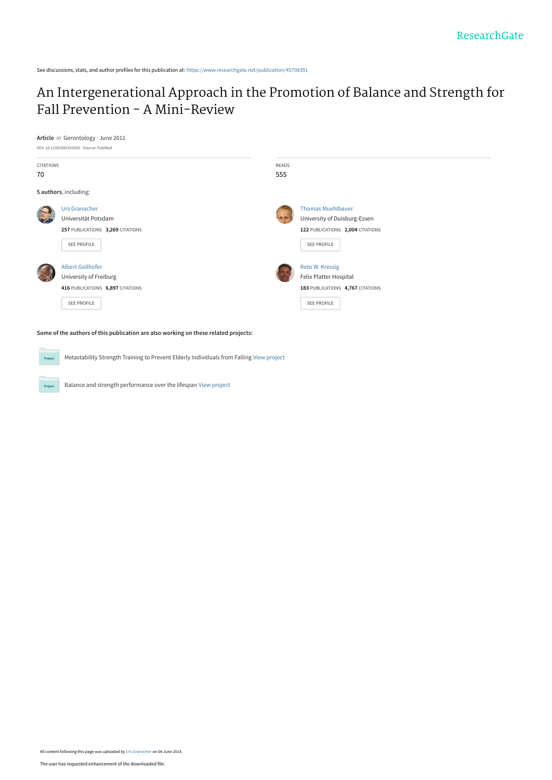See discussions, stats, and author profiles for this publication at: [https://www.researchgate.net/publication/45708391](https://www.researchgate.net/publication/45708391_An_Intergenerational_Approach_in_the_Promotion_of_Balance_and_Strength_for_Fall_Prevention_-_A_Mini-Review?enrichId=rgreq-c2417aef1bbe38f30b9fe605d0cd5ef2-XXX&enrichSource=Y292ZXJQYWdlOzQ1NzA4MzkxO0FTOjEwNDMwNzY1OTY0MDgzM0AxNDAxODgwMjkyMzE2&el=1_x_2&_esc=publicationCoverPdf)

# [An Intergenerational Approach in the Promotion of Balance and Strength for](https://www.researchgate.net/publication/45708391_An_Intergenerational_Approach_in_the_Promotion_of_Balance_and_Strength_for_Fall_Prevention_-_A_Mini-Review?enrichId=rgreq-c2417aef1bbe38f30b9fe605d0cd5ef2-XXX&enrichSource=Y292ZXJQYWdlOzQ1NzA4MzkxO0FTOjEwNDMwNzY1OTY0MDgzM0AxNDAxODgwMjkyMzE2&el=1_x_3&_esc=publicationCoverPdf) Fall Prevention - A Mini-Review

**Article** in Gerontology · June 2011

 $Pro$ 

Project



**Some of the authors of this publication are also working on these related projects:**

Metastability Strength Training to Prevent Elderly Individuals from Falling [View project](https://www.researchgate.net/project/Metastability-Strength-Training-to-Prevent-Elderly-Individuals-from-Falling?enrichId=rgreq-c2417aef1bbe38f30b9fe605d0cd5ef2-XXX&enrichSource=Y292ZXJQYWdlOzQ1NzA4MzkxO0FTOjEwNDMwNzY1OTY0MDgzM0AxNDAxODgwMjkyMzE2&el=1_x_9&_esc=publicationCoverPdf)

Balance and strength performance over the lifespan [View project](https://www.researchgate.net/project/Balance-and-strength-performance-over-the-lifespan?enrichId=rgreq-c2417aef1bbe38f30b9fe605d0cd5ef2-XXX&enrichSource=Y292ZXJQYWdlOzQ1NzA4MzkxO0FTOjEwNDMwNzY1OTY0MDgzM0AxNDAxODgwMjkyMzE2&el=1_x_9&_esc=publicationCoverPdf)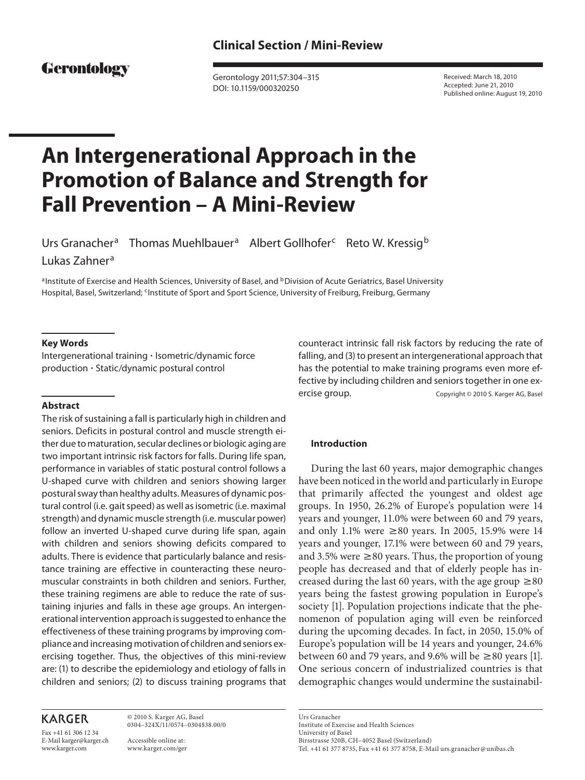# Gerontology

 Gerontology 2011;57:304–315 DOI: 10.1159/000320250

 Received: March 18, 2010 Accepted: June 21, 2010 Published online: August 19, 2010

# **An Intergenerational Approach in the Promotion of Balance and Strength for Fall Prevention – A Mini-Review**

Urs Granacher<sup>a</sup> Thomas Muehlbauer<sup>a</sup> Albert Gollhofer<sup>c</sup> Reto W. Kressig<sup>b</sup> Lukas Zahner<sup>a</sup>

a Institute of Exercise and Health Sciences, University of Basel, and **bDivision of Acute Geriatrics, Basel University** Hospital, Basel, Switzerland; <sup>c</sup>Institute of Sport and Sport Science, University of Freiburg, Freiburg, Germany

#### **Key Words**

Intergenerational training · Isometric/dynamic force production - Static/dynamic postural control

#### **Abstract**

 The risk of sustaining a fall is particularly high in children and seniors. Deficits in postural control and muscle strength either due to maturation, secular declines or biologic aging are two important intrinsic risk factors for falls. During life span, performance in variables of static postural control follows a U-shaped curve with children and seniors showing larger postural sway than healthy adults. Measures of dynamic postural control (i.e. gait speed) as well as isometric (i.e. maximal strength) and dynamic muscle strength (i.e. muscular power) follow an inverted U-shaped curve during life span, again with children and seniors showing deficits compared to adults. There is evidence that particularly balance and resistance training are effective in counteracting these neuromuscular constraints in both children and seniors. Further, these training regimens are able to reduce the rate of sustaining injuries and falls in these age groups. An intergenerational intervention approach is suggested to enhance the effectiveness of these training programs by improving compliance and increasing motivation of children and seniors exercising together. Thus, the objectives of this mini-review are: (1) to describe the epidemiology and etiology of falls in children and seniors; (2) to discuss training programs that

# **KARGER**

Fax +41 61 306 12 34 E-Mail karger@karger.ch www.karger.com

 © 2010 S. Karger AG, Basel 0304–324X/11/0574–0304\$38.00/0

 Accessible online at: www.karger.com/ger counteract intrinsic fall risk factors by reducing the rate of falling, and (3) to present an intergenerational approach that has the potential to make training programs even more effective by including children and seniors together in one exercise group. Copyright © 2010 S. Karger AG, Basel

#### **Introduction**

 During the last 60 years, major demographic changes have been noticed in the world and particularly in Europe that primarily affected the youngest and oldest age groups. In 1950, 26.2% of Europe's population were 14 years and younger, 11.0% were between 60 and 79 years, and only 1.1% were  $\geq 80$  years. In 2005, 15.9% were 14 years and younger, 17.1% were between 60 and 79 years, and 3.5% were  $\geq$ 80 years. Thus, the proportion of young people has decreased and that of elderly people has increased during the last 60 years, with the age group  $\geq 80$ years being the fastest growing population in Europe's society [1]. Population projections indicate that the phenomenon of population aging will even be reinforced during the upcoming decades. In fact, in 2050, 15.0% of Europe's population will be 14 years and younger, 24.6% between 60 and 79 years, and 9.6% will be  $\geq 80$  years [1]. One serious concern of industrialized countries is that demographic changes would undermine the sustainabil-

 Urs Granacher Institute of Exercise and Health Sciences University of Basel Birsstrasse 320B, CH–4052 Basel (Switzerland) Tel. +41 61 377 8735, Fax +41 61 377 8758, E-Mail urs.granacher @ unibas.ch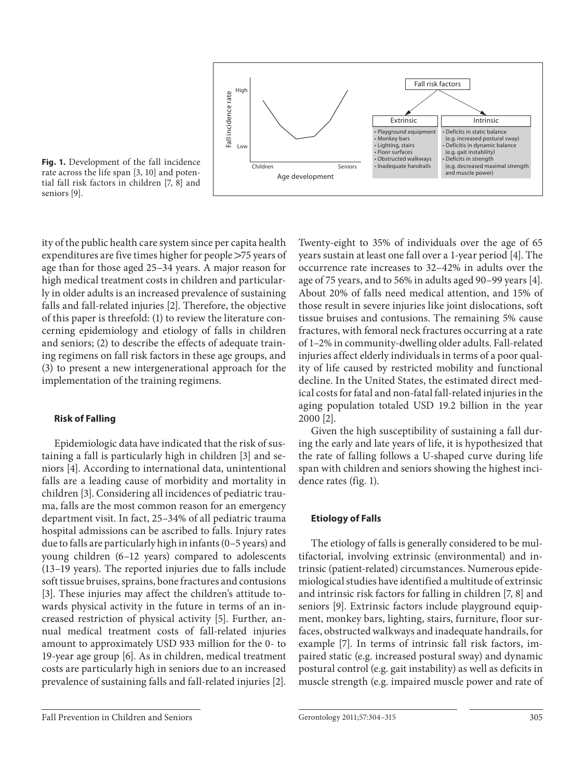

**Fig. 1.** Development of the fall incidence rate across the life span [3, 10] and potential fall risk factors in children [7, 8] and seniors [9].

ity of the public health care system since per capita health expenditures are five times higher for people  $>75$  years of age than for those aged 25–34 years. A major reason for high medical treatment costs in children and particularly in older adults is an increased prevalence of sustaining falls and fall-related injuries [2]. Therefore, the objective of this paper is threefold: (1) to review the literature concerning epidemiology and etiology of falls in children and seniors; (2) to describe the effects of adequate training regimens on fall risk factors in these age groups, and (3) to present a new intergenerational approach for the implementation of the training regimens.

#### **Risk of Falling**

 Epidemiologic data have indicated that the risk of sustaining a fall is particularly high in children [3] and seniors [4]. According to international data, unintentional falls are a leading cause of morbidity and mortality in children [3]. Considering all incidences of pediatric trauma, falls are the most common reason for an emergency department visit. In fact, 25–34% of all pediatric trauma hospital admissions can be ascribed to falls. Injury rates due to falls are particularly high in infants (0–5 years) and young children (6–12 years) compared to adolescents (13–19 years). The reported injuries due to falls include soft tissue bruises, sprains, bone fractures and contusions [3]. These injuries may affect the children's attitude towards physical activity in the future in terms of an increased restriction of physical activity [5]. Further, annual medical treatment costs of fall-related injuries amount to approximately USD 933 million for the 0- to 19-year age group [6] . As in children, medical treatment costs are particularly high in seniors due to an increased prevalence of sustaining falls and fall-related injuries [2] .

occurrence rate increases to 32–42% in adults over the age of 75 years, and to 56% in adults aged 90–99 years [4] . About 20% of falls need medical attention, and 15% of those result in severe injuries like joint dislocations, soft tissue bruises and contusions. The remaining 5% cause fractures, with femoral neck fractures occurring at a rate of 1–2% in community-dwelling older adults. Fall-related injuries affect elderly individuals in terms of a poor quality of life caused by restricted mobility and functional decline. In the United States, the estimated direct medical costs for fatal and non-fatal fall-related injuries in the aging population totaled USD 19.2 billion in the year 2000 [2] . Given the high susceptibility of sustaining a fall dur-

Twenty-eight to 35% of individuals over the age of 65 years sustain at least one fall over a 1-year period [4] . The

ing the early and late years of life, it is hypothesized that the rate of falling follows a U-shaped curve during life span with children and seniors showing the highest incidence rates (fig. 1).

## **Etiology of Falls**

 The etiology of falls is generally considered to be multifactorial, involving extrinsic (environmental) and intrinsic (patient-related) circumstances. Numerous epidemiological studies have identified a multitude of extrinsic and intrinsic risk factors for falling in children [7, 8] and seniors [9]. Extrinsic factors include playground equipment, monkey bars, lighting, stairs, furniture, floor surfaces, obstructed walkways and inadequate handrails, for example [7]. In terms of intrinsic fall risk factors, impaired static (e.g. increased postural sway) and dynamic postural control (e.g. gait instability) as well as deficits in muscle strength (e.g. impaired muscle power and rate of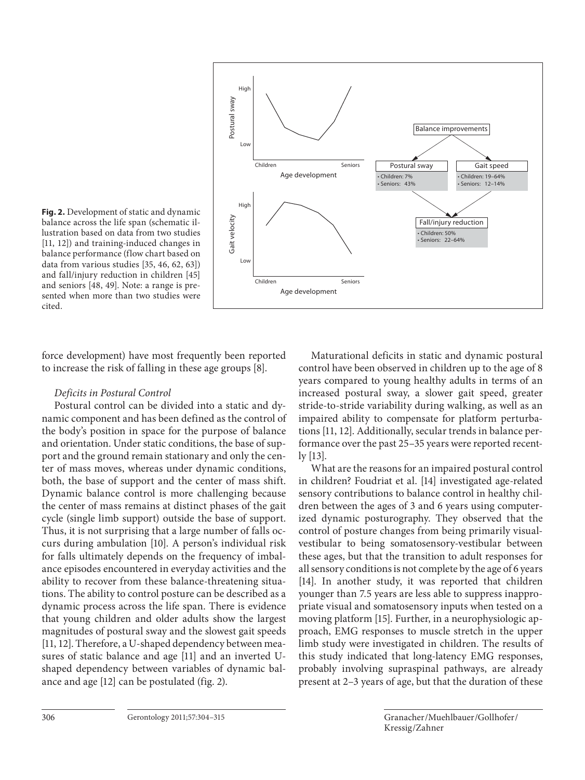

**Fig. 2.** Development of static and dynamic balance across the life span (schematic illustration based on data from two studies [11, 12]) and training-induced changes in balance performance (flow chart based on data from various studies [35, 46, 62, 63]) and fall/injury reduction in children [45] and seniors [48, 49]. Note: a range is presented when more than two studies were cited.

force development) have most frequently been reported to increase the risk of falling in these age groups [8] .

# *Deficits in Postural Control*

 Postural control can be divided into a static and dynamic component and has been defined as the control of the body's position in space for the purpose of balance and orientation. Under static conditions, the base of support and the ground remain stationary and only the center of mass moves, whereas under dynamic conditions, both, the base of support and the center of mass shift. Dynamic balance control is more challenging because the center of mass remains at distinct phases of the gait cycle (single limb support) outside the base of support. Thus, it is not surprising that a large number of falls occurs during ambulation [10]. A person's individual risk for falls ultimately depends on the frequency of imbalance episodes encountered in everyday activities and the ability to recover from these balance-threatening situations. The ability to control posture can be described as a dynamic process across the life span. There is evidence that young children and older adults show the largest magnitudes of postural sway and the slowest gait speeds [11, 12]. Therefore, a U-shaped dependency between measures of static balance and age [11] and an inverted Ushaped dependency between variables of dynamic balance and age [12] can be postulated (fig. 2).

 Maturational deficits in static and dynamic postural control have been observed in children up to the age of 8 years compared to young healthy adults in terms of an increased postural sway, a slower gait speed, greater stride-to-stride variability during walking, as well as an impaired ability to compensate for platform perturbations [11, 12]. Additionally, secular trends in balance performance over the past 25–35 years were reported recent- $\frac{1}{13}$ .

 What are the reasons for an impaired postural control in children? Foudriat et al. [14] investigated age-related sensory contributions to balance control in healthy children between the ages of 3 and 6 years using computerized dynamic posturography. They observed that the control of posture changes from being primarily visualvestibular to being somatosensory-vestibular between these ages, but that the transition to adult responses for all sensory conditions is not complete by the age of 6 years [14]. In another study, it was reported that children younger than 7.5 years are less able to suppress inappropriate visual and somatosensory inputs when tested on a moving platform [15]. Further, in a neurophysiologic approach, EMG responses to muscle stretch in the upper limb study were investigated in children. The results of this study indicated that long-latency EMG responses, probably involving supraspinal pathways, are already present at 2–3 years of age, but that the duration of these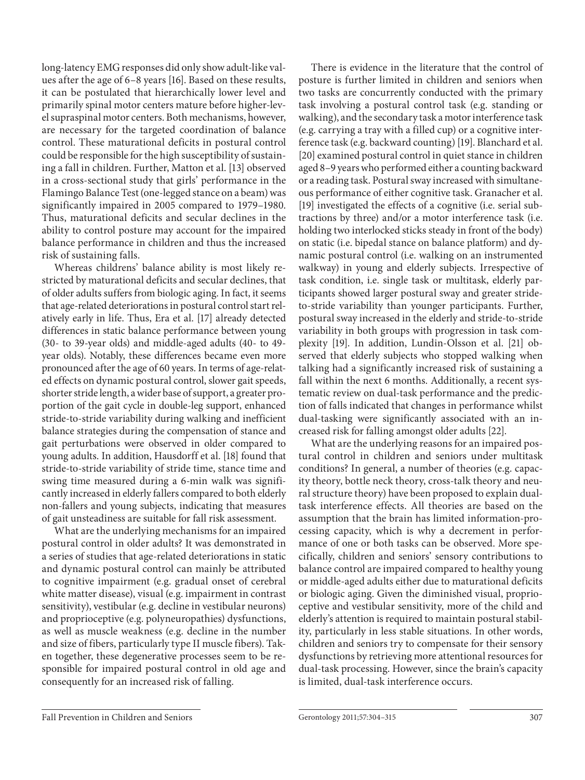long-latency EMG responses did only show adult-like values after the age of 6–8 years [16]. Based on these results, it can be postulated that hierarchically lower level and primarily spinal motor centers mature before higher-level supraspinal motor centers. Both mechanisms, however, are necessary for the targeted coordination of balance control. These maturational deficits in postural control could be responsible for the high susceptibility of sustaining a fall in children. Further, Matton et al. [13] observed in a cross-sectional study that girls' performance in the Flamingo Balance Test (one-legged stance on a beam) was significantly impaired in 2005 compared to 1979–1980. Thus, maturational deficits and secular declines in the ability to control posture may account for the impaired balance performance in children and thus the increased risk of sustaining falls.

 Whereas childrens' balance ability is most likely restricted by maturational deficits and secular declines, that of older adults suffers from biologic aging. In fact, it seems that age-related deteriorations in postural control start relatively early in life. Thus, Era et al. [17] already detected differences in static balance performance between young (30- to 39-year olds) and middle-aged adults (40- to 49 year olds). Notably, these differences became even more pronounced after the age of 60 years. In terms of age-related effects on dynamic postural control, slower gait speeds, shorter stride length, a wider base of support, a greater proportion of the gait cycle in double-leg support, enhanced stride-to-stride variability during walking and inefficient balance strategies during the compensation of stance and gait perturbations were observed in older compared to young adults. In addition, Hausdorff et al. [18] found that stride-to-stride variability of stride time, stance time and swing time measured during a 6-min walk was significantly increased in elderly fallers compared to both elderly non-fallers and young subjects, indicating that measures of gait unsteadiness are suitable for fall risk assessment.

 What are the underlying mechanisms for an impaired postural control in older adults? It was demonstrated in a series of studies that age-related deteriorations in static and dynamic postural control can mainly be attributed to cognitive impairment (e.g. gradual onset of cerebral white matter disease), visual (e.g. impairment in contrast sensitivity), vestibular (e.g. decline in vestibular neurons) and proprioceptive (e.g. polyneuropathies) dysfunctions, as well as muscle weakness (e.g. decline in the number and size of fibers, particularly type II muscle fibers). Taken together, these degenerative processes seem to be responsible for impaired postural control in old age and consequently for an increased risk of falling.

 There is evidence in the literature that the control of posture is further limited in children and seniors when two tasks are concurrently conducted with the primary task involving a postural control task (e.g. standing or walking), and the secondary task a motor interference task (e.g. carrying a tray with a filled cup) or a cognitive interference task (e.g. backward counting) [19]. Blanchard et al. [20] examined postural control in quiet stance in children aged 8–9 years who performed either a counting backward or a reading task. Postural sway increased with simultaneous performance of either cognitive task. Granacher et al. [19] investigated the effects of a cognitive (i.e. serial subtractions by three) and/or a motor interference task (i.e. holding two interlocked sticks steady in front of the body) on static (i.e. bipedal stance on balance platform) and dynamic postural control (i.e. walking on an instrumented walkway) in young and elderly subjects. Irrespective of task condition, i.e. single task or multitask, elderly participants showed larger postural sway and greater strideto-stride variability than younger participants. Further, postural sway increased in the elderly and stride-to-stride variability in both groups with progression in task complexity [19]. In addition, Lundin-Olsson et al. [21] observed that elderly subjects who stopped walking when talking had a significantly increased risk of sustaining a fall within the next 6 months. Additionally, a recent systematic review on dual-task performance and the prediction of falls indicated that changes in performance whilst dual-tasking were significantly associated with an increased risk for falling amongst older adults [22] .

 What are the underlying reasons for an impaired postural control in children and seniors under multitask conditions? In general, a number of theories (e.g. capacity theory, bottle neck theory, cross-talk theory and neural structure theory) have been proposed to explain dualtask interference effects. All theories are based on the assumption that the brain has limited information-processing capacity, which is why a decrement in performance of one or both tasks can be observed. More specifically, children and seniors' sensory contributions to balance control are impaired compared to healthy young or middle-aged adults either due to maturational deficits or biologic aging. Given the diminished visual, proprioceptive and vestibular sensitivity, more of the child and elderly's attention is required to maintain postural stability, particularly in less stable situations. In other words, children and seniors try to compensate for their sensory dysfunctions by retrieving more attentional resources for dual-task processing. However, since the brain's capacity is limited, dual-task interference occurs.

#### Fall Prevention in Children and Seniors Gerontology 2011;57:304–315 307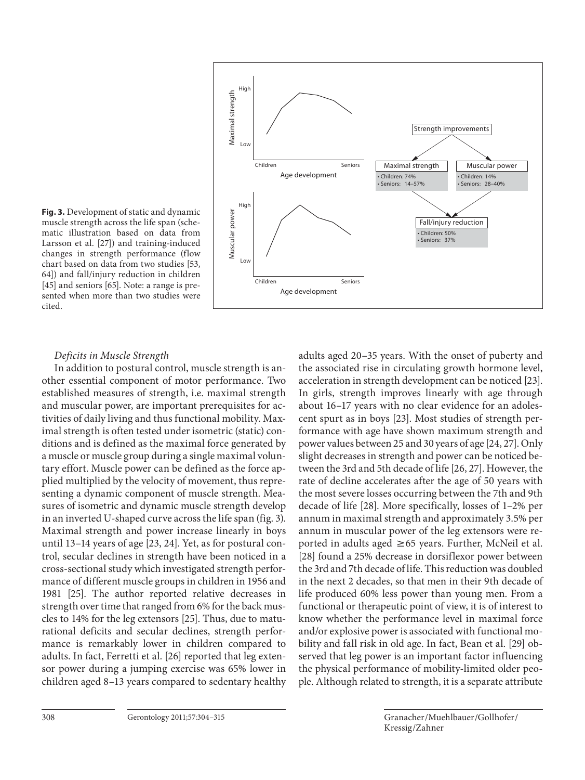

**Fig. 3.** Development of static and dynamic muscle strength across the life span (schematic illustration based on data from Larsson et al. [27]) and training-induced changes in strength performance (flow chart based on data from two studies [53, 64]) and fall/injury reduction in children [45] and seniors [65]. Note: a range is presented when more than two studies were cited.

## *Deficits in Muscle Strength*

 In addition to postural control, muscle strength is another essential component of motor performance. Two established measures of strength, i.e. maximal strength and muscular power, are important prerequisites for activities of daily living and thus functional mobility. Maximal strength is often tested under isometric (static) conditions and is defined as the maximal force generated by a muscle or muscle group during a single maximal voluntary effort. Muscle power can be defined as the force applied multiplied by the velocity of movement, thus representing a dynamic component of muscle strength. Measures of isometric and dynamic muscle strength develop in an inverted U-shaped curve across the life span (fig. 3). Maximal strength and power increase linearly in boys until 13-14 years of age [23, 24]. Yet, as for postural control, secular declines in strength have been noticed in a cross-sectional study which investigated strength performance of different muscle groups in children in 1956 and 1981 [25]. The author reported relative decreases in strength over time that ranged from 6% for the back muscles to 14% for the leg extensors [25] . Thus, due to maturational deficits and secular declines, strength performance is remarkably lower in children compared to adults. In fact, Ferretti et al. [26] reported that leg extensor power during a jumping exercise was 65% lower in children aged 8–13 years compared to sedentary healthy adults aged 20–35 years. With the onset of puberty and the associated rise in circulating growth hormone level, acceleration in strength development can be noticed [23] . In girls, strength improves linearly with age through about 16–17 years with no clear evidence for an adolescent spurt as in boys [23] . Most studies of strength performance with age have shown maximum strength and power values between 25 and 30 years of age [24, 27] . Only slight decreases in strength and power can be noticed between the 3rd and 5th decade of life [26, 27] . However, the rate of decline accelerates after the age of 50 years with the most severe losses occurring between the 7th and 9th decade of life [28] . More specifically, losses of 1–2% per annum in maximal strength and approximately 3.5% per annum in muscular power of the leg extensors were reported in adults aged  $\geq 65$  years. Further, McNeil et al. [28] found a 25% decrease in dorsiflexor power between the 3rd and 7th decade of life. This reduction was doubled in the next 2 decades, so that men in their 9th decade of life produced 60% less power than young men. From a functional or therapeutic point of view, it is of interest to know whether the performance level in maximal force and/or explosive power is associated with functional mobility and fall risk in old age. In fact, Bean et al. [29] observed that leg power is an important factor influencing the physical performance of mobility-limited older people. Although related to strength, it is a separate attribute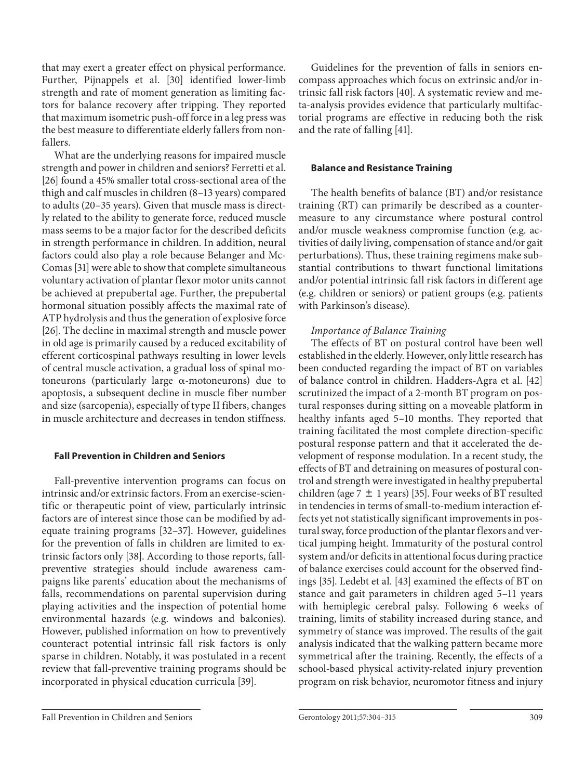that may exert a greater effect on physical performance. Further, Pijnappels et al. [30] identified lower-limb strength and rate of moment generation as limiting factors for balance recovery after tripping. They reported that maximum isometric push-off force in a leg press was the best measure to differentiate elderly fallers from nonfallers.

 What are the underlying reasons for impaired muscle strength and power in children and seniors? Ferretti et al. [26] found a 45% smaller total cross-sectional area of the thigh and calf muscles in children (8–13 years) compared to adults (20–35 years). Given that muscle mass is directly related to the ability to generate force, reduced muscle mass seems to be a major factor for the described deficits in strength performance in children. In addition, neural factors could also play a role because Belanger and Mc-Comas [31] were able to show that complete simultaneous voluntary activation of plantar flexor motor units cannot be achieved at prepubertal age. Further, the prepubertal hormonal situation possibly affects the maximal rate of ATP hydrolysis and thus the generation of explosive force [26]. The decline in maximal strength and muscle power in old age is primarily caused by a reduced excitability of efferent corticospinal pathways resulting in lower levels of central muscle activation, a gradual loss of spinal motoneurons (particularly large  $\alpha$ -motoneurons) due to apoptosis, a subsequent decline in muscle fiber number and size (sarcopenia), especially of type II fibers, changes in muscle architecture and decreases in tendon stiffness.

# **Fall Prevention in Children and Seniors**

 Fall-preventive intervention programs can focus on intrinsic and/or extrinsic factors. From an exercise-scientific or therapeutic point of view, particularly intrinsic factors are of interest since those can be modified by adequate training programs [32-37]. However, guidelines for the prevention of falls in children are limited to extrinsic factors only [38]. According to those reports, fallpreventive strategies should include awareness campaigns like parents' education about the mechanisms of falls, recommendations on parental supervision during playing activities and the inspection of potential home environmental hazards (e.g. windows and balconies). However, published information on how to preventively counteract potential intrinsic fall risk factors is only sparse in children. Notably, it was postulated in a recent review that fall-preventive training programs should be incorporated in physical education curricula [39].

 Guidelines for the prevention of falls in seniors encompass approaches which focus on extrinsic and/or intrinsic fall risk factors [40]. A systematic review and meta-analysis provides evidence that particularly multifactorial programs are effective in reducing both the risk and the rate of falling [41] .

## **Balance and Resistance Training**

 The health benefits of balance (BT) and/or resistance training (RT) can primarily be described as a countermeasure to any circumstance where postural control and/or muscle weakness compromise function (e.g. activities of daily living, compensation of stance and/or gait perturbations). Thus, these training regimens make substantial contributions to thwart functional limitations and/or potential intrinsic fall risk factors in different age (e.g. children or seniors) or patient groups (e.g. patients with Parkinson's disease).

# *Importance of Balance Training*

 The effects of BT on postural control have been well established in the elderly. However, only little research has been conducted regarding the impact of BT on variables of balance control in children. Hadders-Agra et al. [42] scrutinized the impact of a 2-month BT program on postural responses during sitting on a moveable platform in healthy infants aged 5–10 months. They reported that training facilitated the most complete direction-specific postural response pattern and that it accelerated the development of response modulation. In a recent study, the effects of BT and detraining on measures of postural control and strength were investigated in healthy prepubertal children (age  $7 \pm 1$  years) [35]. Four weeks of BT resulted in tendencies in terms of small-to-medium interaction effects yet not statistically significant improvements in postural sway, force production of the plantar flexors and vertical jumping height. Immaturity of the postural control system and/or deficits in attentional focus during practice of balance exercises could account for the observed findings [35]. Ledebt et al. [43] examined the effects of BT on stance and gait parameters in children aged 5–11 years with hemiplegic cerebral palsy. Following 6 weeks of training, limits of stability increased during stance, and symmetry of stance was improved. The results of the gait analysis indicated that the walking pattern became more symmetrical after the training. Recently, the effects of a school-based physical activity-related injury prevention program on risk behavior, neuromotor fitness and injury

Fall Prevention in Children and Seniors Gerontology 2011;57:304–315 309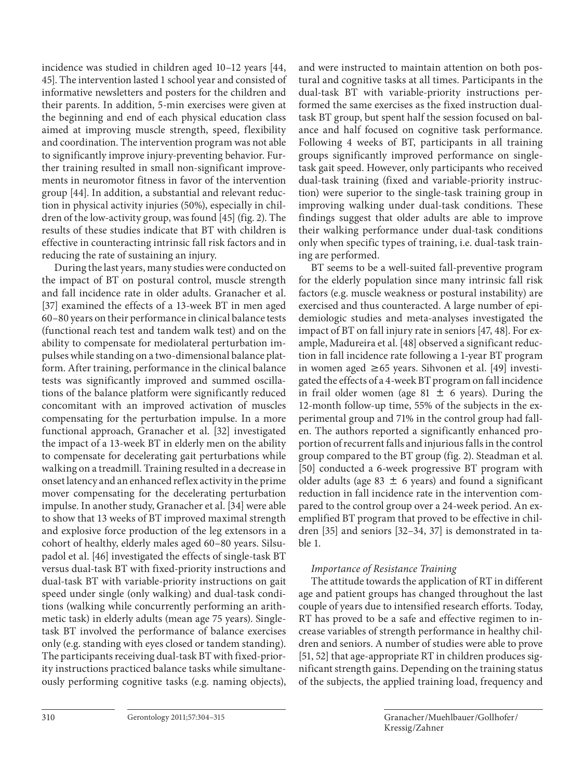incidence was studied in children aged 10–12 years [44, 45]. The intervention lasted 1 school year and consisted of informative newsletters and posters for the children and their parents. In addition, 5-min exercises were given at the beginning and end of each physical education class aimed at improving muscle strength, speed, flexibility and coordination. The intervention program was not able to significantly improve injury-preventing behavior. Further training resulted in small non-significant improvements in neuromotor fitness in favor of the intervention group [44]. In addition, a substantial and relevant reduction in physical activity injuries (50%), especially in children of the low-activity group, was found  $[45]$  (fig. 2). The results of these studies indicate that BT with children is effective in counteracting intrinsic fall risk factors and in reducing the rate of sustaining an injury.

 During the last years, many studies were conducted on the impact of BT on postural control, muscle strength and fall incidence rate in older adults. Granacher et al. [37] examined the effects of a 13-week BT in men aged 60–80 years on their performance in clinical balance tests (functional reach test and tandem walk test) and on the ability to compensate for mediolateral perturbation impulses while standing on a two-dimensional balance platform. After training, performance in the clinical balance tests was significantly improved and summed oscillations of the balance platform were significantly reduced concomitant with an improved activation of muscles compensating for the perturbation impulse. In a more functional approach, Granacher et al. [32] investigated the impact of a 13-week BT in elderly men on the ability to compensate for decelerating gait perturbations while walking on a treadmill. Training resulted in a decrease in onset latency and an enhanced reflex activity in the prime mover compensating for the decelerating perturbation impulse. In another study, Granacher et al. [34] were able to show that 13 weeks of BT improved maximal strength and explosive force production of the leg extensors in a cohort of healthy, elderly males aged 60–80 years. Silsupadol et al. [46] investigated the effects of single-task BT versus dual-task BT with fixed-priority instructions and dual-task BT with variable-priority instructions on gait speed under single (only walking) and dual-task conditions (walking while concurrently performing an arithmetic task) in elderly adults (mean age 75 years). Singletask BT involved the performance of balance exercises only (e.g. standing with eyes closed or tandem standing). The participants receiving dual-task BT with fixed-priority instructions practiced balance tasks while simultaneously performing cognitive tasks (e.g. naming objects),

and were instructed to maintain attention on both postural and cognitive tasks at all times. Participants in the dual-task BT with variable-priority instructions performed the same exercises as the fixed instruction dualtask BT group, but spent half the session focused on balance and half focused on cognitive task performance. Following 4 weeks of BT, participants in all training groups significantly improved performance on singletask gait speed. However, only participants who received dual-task training (fixed and variable-priority instruction) were superior to the single-task training group in improving walking under dual-task conditions. These findings suggest that older adults are able to improve their walking performance under dual-task conditions only when specific types of training, i.e. dual-task training are performed.

 BT seems to be a well-suited fall-preventive program for the elderly population since many intrinsic fall risk factors (e.g. muscle weakness or postural instability) are exercised and thus counteracted. A large number of epidemiologic studies and meta-analyses investigated the impact of BT on fall injury rate in seniors [47, 48]. For example, Madureira et al. [48] observed a significant reduction in fall incidence rate following a 1-year BT program in women aged  $\geq 65$  years. Sihvonen et al. [49] investigated the effects of a 4-week BT program on fall incidence in frail older women (age 81  $\pm$  6 years). During the 12-month follow-up time, 55% of the subjects in the experimental group and 71% in the control group had fallen. The authors reported a significantly enhanced proportion of recurrent falls and injurious falls in the control group compared to the BT group (fig. 2). Steadman et al. [50] conducted a 6-week progressive BT program with older adults (age 83  $\pm$  6 years) and found a significant reduction in fall incidence rate in the intervention compared to the control group over a 24-week period. An exemplified BT program that proved to be effective in children [35] and seniors [32–34, 37] is demonstrated in table 1.

# *Importance of Resistance Training*

 The attitude towards the application of RT in different age and patient groups has changed throughout the last couple of years due to intensified research efforts. Today, RT has proved to be a safe and effective regimen to increase variables of strength performance in healthy children and seniors. A number of studies were able to prove [51, 52] that age-appropriate RT in children produces significant strength gains. Depending on the training status of the subjects, the applied training load, frequency and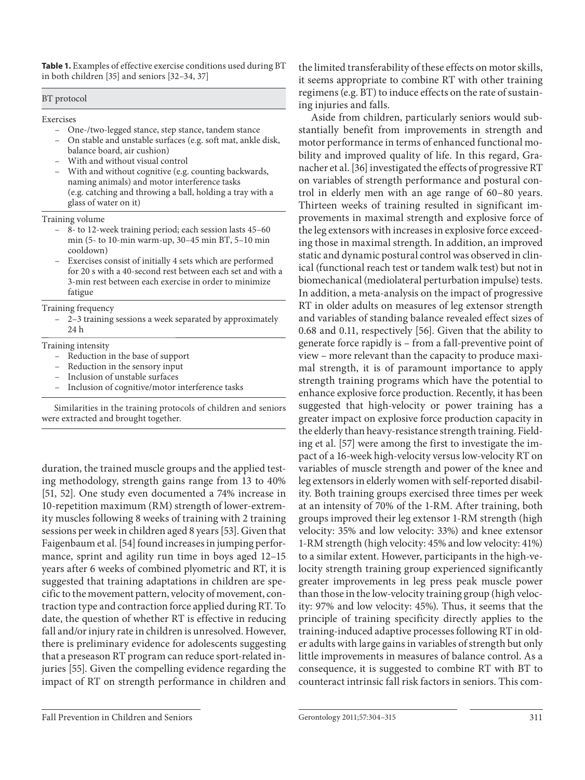**Table 1.** Examples of effective exercise conditions used during BT in both children [35] and seniors [32–34, 37]

BT protocol

Exercises

- One-/two-legged stance, step stance, tandem stance
- On stable and unstable surfaces (e.g. soft mat, ankle disk, balance board, air cushion)
- With and without visual control
- With and without cognitive (e.g. counting backwards, naming animals) and motor interference tasks (e.g. catching and throwing a ball, holding a tray with a glass of water on it)

Training volume

- 8- to 12-week training period; each session lasts 45–60 min (5- to 10-min warm-up, 30–45 min BT, 5–10 min cooldown)
- Exercises consist of initially 4 sets which are performed for 20 s with a 40-second rest between each set and with a 3-min rest between each exercise in order to minimize fatigue

Training frequency

– 2–3 training sessions a week separated by approximately 24 h

#### Training intensity

- Reduction in the base of support
- Reduction in the sensory input
- Inclusion of unstable surfaces
- Inclusion of cognitive/motor interference tasks

Similarities in the training protocols of children and seniors were extracted and brought together.

duration, the trained muscle groups and the applied testing methodology, strength gains range from 13 to 40% [51, 52]. One study even documented a 74% increase in 10-repetition maximum (RM) strength of lower-extremity muscles following 8 weeks of training with 2 training sessions per week in children aged 8 years [53] . Given that Faigenbaum et al. [54] found increases in jumping performance, sprint and agility run time in boys aged 12–15 years after 6 weeks of combined plyometric and RT, it is suggested that training adaptations in children are specific to the movement pattern, velocity of movement, contraction type and contraction force applied during RT. To date, the question of whether RT is effective in reducing fall and/or injury rate in children is unresolved. However, there is preliminary evidence for adolescents suggesting that a preseason RT program can reduce sport-related injuries [55]. Given the compelling evidence regarding the impact of RT on strength performance in children and

the limited transferability of these effects on motor skills, it seems appropriate to combine RT with other training regimens (e.g. BT) to induce effects on the rate of sustaining injuries and falls.

 Aside from children, particularly seniors would substantially benefit from improvements in strength and motor performance in terms of enhanced functional mobility and improved quality of life. In this regard, Granacher et al. [36] investigated the effects of progressive RT on variables of strength performance and postural control in elderly men with an age range of 60–80 years. Thirteen weeks of training resulted in significant improvements in maximal strength and explosive force of the leg extensors with increases in explosive force exceeding those in maximal strength. In addition, an improved static and dynamic postural control was observed in clinical (functional reach test or tandem walk test) but not in biomechanical (mediolateral perturbation impulse) tests. In addition, a meta-analysis on the impact of progressive RT in older adults on measures of leg extensor strength and variables of standing balance revealed effect sizes of 0.68 and 0.11, respectively [56]. Given that the ability to generate force rapidly is – from a fall-preventive point of view – more relevant than the capacity to produce maximal strength, it is of paramount importance to apply strength training programs which have the potential to enhance explosive force production. Recently, it has been suggested that high-velocity or power training has a greater impact on explosive force production capacity in the elderly than heavy-resistance strength training. Fielding et al. [57] were among the first to investigate the impact of a 16-week high-velocity versus low-velocity RT on variables of muscle strength and power of the knee and leg extensors in elderly women with self-reported disability. Both training groups exercised three times per week at an intensity of 70% of the 1-RM. After training, both groups improved their leg extensor 1-RM strength (high velocity: 35% and low velocity: 33%) and knee extensor 1-RM strength (high velocity: 45% and low velocity: 41%) to a similar extent. However, participants in the high-velocity strength training group experienced significantly greater improvements in leg press peak muscle power than those in the low-velocity training group (high velocity: 97% and low velocity: 45%). Thus, it seems that the principle of training specificity directly applies to the training-induced adaptive processes following RT in older adults with large gains in variables of strength but only little improvements in measures of balance control. As a consequence, it is suggested to combine RT with BT to counteract intrinsic fall risk factors in seniors. This com-

Fall Prevention in Children and Seniors Gerontology 2011;57:304–315 311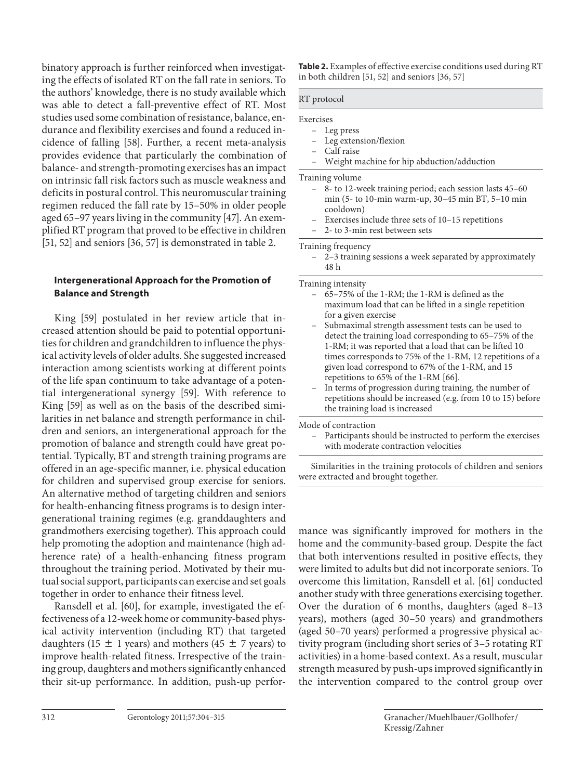binatory approach is further reinforced when investigating the effects of isolated RT on the fall rate in seniors. To the authors' knowledge, there is no study available which was able to detect a fall-preventive effect of RT. Most studies used some combination of resistance, balance, endurance and flexibility exercises and found a reduced incidence of falling [58]. Further, a recent meta-analysis provides evidence that particularly the combination of balance- and strength-promoting exercises has an impact on intrinsic fall risk factors such as muscle weakness and deficits in postural control. This neuromuscular training regimen reduced the fall rate by 15–50% in older people aged 65–97 years living in the community [47] . An exemplified RT program that proved to be effective in children [51, 52] and seniors [36, 57] is demonstrated in table 2.

# **Intergenerational Approach for the Promotion of Balance and Strength**

 King [59] postulated in her review article that increased attention should be paid to potential opportunities for children and grandchildren to influence the physical activity levels of older adults. She suggested increased interaction among scientists working at different points of the life span continuum to take advantage of a potential intergenerational synergy [59]. With reference to King [59] as well as on the basis of the described similarities in net balance and strength performance in children and seniors, an intergenerational approach for the promotion of balance and strength could have great potential. Typically, BT and strength training programs are offered in an age-specific manner, i.e. physical education for children and supervised group exercise for seniors. An alternative method of targeting children and seniors for health-enhancing fitness programs is to design intergenerational training regimes (e.g. granddaughters and grandmothers exercising together). This approach could help promoting the adoption and maintenance (high adherence rate) of a health-enhancing fitness program throughout the training period. Motivated by their mutual social support, participants can exercise and set goals together in order to enhance their fitness level.

Ransdell et al. [60], for example, investigated the effectiveness of a 12-week home or community-based physical activity intervention (including RT) that targeted daughters (15  $\pm$  1 years) and mothers (45  $\pm$  7 years) to improve health-related fitness. Irrespective of the training group, daughters and mothers significantly enhanced their sit-up performance. In addition, push-up perfor**Table 2.** Examples of effective exercise conditions used during RT in both children [51, 52] and seniors [36, 57]

#### RT protocol

# Exercises

- Leg extension/flexion
- Calf raise
- Weight machine for hip abduction/adduction

Training volume

- 8- to 12-week training period; each session lasts 45–60 min (5- to 10-min warm-up, 30–45 min BT, 5–10 min cooldown)
- Exercises include three sets of 10–15 repetitions
- 2- to 3-min rest between sets

Training frequency

– 2–3 training sessions a week separated by approximately 48 h

Training intensity

- 65–75% of the 1-RM; the 1-RM is defined as the maximum load that can be lifted in a single repetition for a given exercise
- Submaximal strength assessment tests can be used to detect the training load corresponding to 65–75% of the 1-RM; it was reported that a load that can be lifted 10 times corresponds to 75% of the 1-RM, 12 repetitions of a given load correspond to 67% of the 1-RM, and 15 repetitions to 65% of the 1-RM [66].
- In terms of progression during training, the number of repetitions should be increased (e.g. from 10 to 15) before the training load is increased

Mode of contraction

– Participants should be instructed to perform the exercises with moderate contraction velocities

Similarities in the training protocols of children and seniors were extracted and brought together.

mance was significantly improved for mothers in the home and the community-based group. Despite the fact that both interventions resulted in positive effects, they were limited to adults but did not incorporate seniors. To overcome this limitation, Ransdell et al. [61] conducted another study with three generations exercising together. Over the duration of 6 months, daughters (aged 8–13 years), mothers (aged 30–50 years) and grandmothers (aged 50–70 years) performed a progressive physical activity program (including short series of 3–5 rotating RT activities) in a home-based context. As a result, muscular strength measured by push-ups improved significantly in the intervention compared to the control group over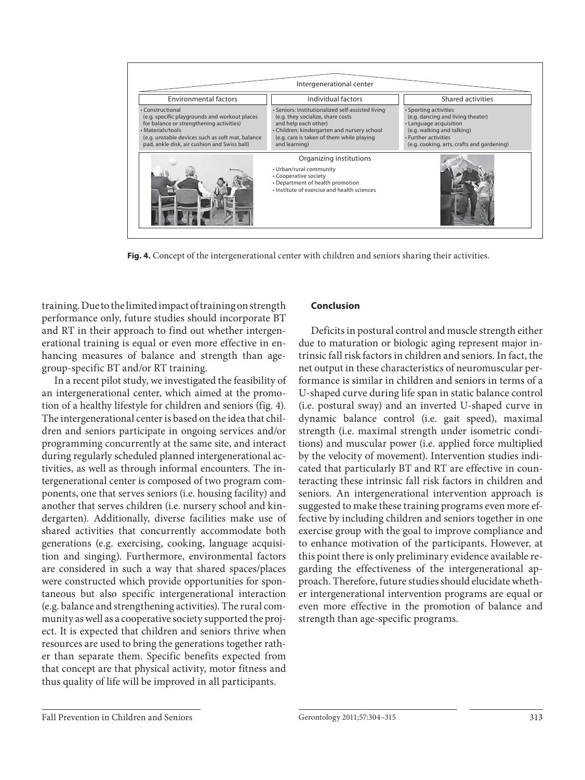| Intergenerational center                                                                                                                                                                                                               |                                                                                                                                                                                                                           |                                                                                                                                                                                          |
|----------------------------------------------------------------------------------------------------------------------------------------------------------------------------------------------------------------------------------------|---------------------------------------------------------------------------------------------------------------------------------------------------------------------------------------------------------------------------|------------------------------------------------------------------------------------------------------------------------------------------------------------------------------------------|
| <b>Environmental factors</b>                                                                                                                                                                                                           | Individual factors                                                                                                                                                                                                        | Shared activities                                                                                                                                                                        |
| • Constructional<br>(e.g. specific playgrounds and workout places<br>for balance or strengthening activities)<br>• Materials/tools<br>(e.g. unstable devices such as soft mat, balance<br>pad, ankle disk, air cushion and Swiss ball) | Seniors: institutionalized self-assisted living<br>(e.g. they socialize, share costs<br>and help each other)<br>• Children: kindergarten and nursery school<br>(e.g. care is taken of them while playing<br>and learning) | · Sporting activities<br>(e.g. dancing and living theater)<br>• Language acquisition<br>(e.g. walking and talking)<br>• Further activities<br>(e.g. cooking, arts, crafts and gardening) |
|                                                                                                                                                                                                                                        | Organizing institutions<br>• Urban/rural community<br>• Cooperative society<br>• Department of health promotion<br>. Institute of exercise and health sciences                                                            |                                                                                                                                                                                          |

**Fig. 4.** Concept of the intergenerational center with children and seniors sharing their activities.

training. Due to the limited impact of training on strength performance only, future studies should incorporate BT and RT in their approach to find out whether intergenerational training is equal or even more effective in enhancing measures of balance and strength than agegroup-specific BT and/or RT training.

 In a recent pilot study, we investigated the feasibility of an intergenerational center, which aimed at the promotion of a healthy lifestyle for children and seniors (fig. 4). The intergenerational center is based on the idea that children and seniors participate in ongoing services and/or programming concurrently at the same site, and interact during regularly scheduled planned intergenerational activities, as well as through informal encounters. The intergenerational center is composed of two program components, one that serves seniors (i.e. housing facility) and another that serves children (i.e. nursery school and kindergarten). Additionally, diverse facilities make use of shared activities that concurrently accommodate both generations (e.g. exercising, cooking, language acquisition and singing). Furthermore, environmental factors are considered in such a way that shared spaces/places were constructed which provide opportunities for spontaneous but also specific intergenerational interaction (e.g. balance and strengthening activities). The rural community as well as a cooperative society supported the project. It is expected that children and seniors thrive when resources are used to bring the generations together rather than separate them. Specific benefits expected from that concept are that physical activity, motor fitness and thus quality of life will be improved in all participants.

#### **Conclusion**

 Deficits in postural control and muscle strength either due to maturation or biologic aging represent major intrinsic fall risk factors in children and seniors. In fact, the net output in these characteristics of neuromuscular performance is similar in children and seniors in terms of a U-shaped curve during life span in static balance control (i.e. postural sway) and an inverted U-shaped curve in dynamic balance control (i.e. gait speed), maximal strength (i.e. maximal strength under isometric conditions) and muscular power (i.e. applied force multiplied by the velocity of movement). Intervention studies indicated that particularly BT and RT are effective in counteracting these intrinsic fall risk factors in children and seniors. An intergenerational intervention approach is suggested to make these training programs even more effective by including children and seniors together in one exercise group with the goal to improve compliance and to enhance motivation of the participants. However, at this point there is only preliminary evidence available regarding the effectiveness of the intergenerational approach. Therefore, future studies should elucidate whether intergenerational intervention programs are equal or even more effective in the promotion of balance and strength than age-specific programs.

Fall Prevention in Children and Seniors Gerontology 2011;57:304–315 313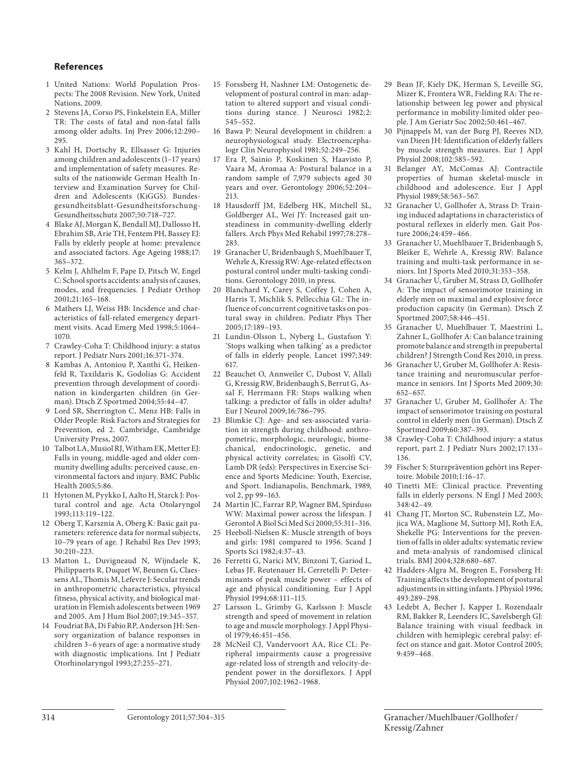#### **References**

- 1 United Nations: World Population Prospects: The 2008 Revision. New York, United Nations, 2009.
- 2 Stevens JA, Corso PS, Finkelstein EA, Miller TR: The costs of fatal and non-fatal falls among older adults. Inj Prev 2006;12:290– 295.
- 3 Kahl H, Dortschy R, Ellsasser G: Injuries among children and adolescents (1–17 years) and implementation of safety measures. Results of the nationwide German Health Interview and Examination Survey for Children and Adolescents (KiGGS). Bundesgesundheitsblatt-Gesundheitsforschung-Gesundheitsschutz 2007;50:718–727.
- 4 Blake AJ, Morgan K, Bendall MJ, Dallosso H, Ebrahim SB, Arie TH, Fentem PH, Bassey EJ: Falls by elderly people at home: prevalence and associated factors. Age Ageing 1988;17: 365–372.
- 5 Kelm J, Ahlhelm F, Pape D, Pitsch W, Engel C: School sports accidents: analysis of causes, modes, and frequencies. J Pediatr Orthop 2001;21:165–168.
- 6 Mathers LJ, Weiss HB: Incidence and characteristics of fall-related emergency department visits. Acad Emerg Med 1998;5:1064– 1070.
- 7 Crawley-Coha T: Childhood injury: a status report. J Pediatr Nurs 2001;16:371–374.
- 8 Kambas A, Antoniou P, Xanthi G, Heikenfeld R, Taxildaris K, Godolias G: Accident prevention through development of coordination in kindergarten children (in German). Dtsch Z Sportmed 2004;55:44–47.
- 9 Lord SR, Sherrington C, Menz HB: Falls in Older People: Risk Factors and Strategies for Prevention, ed 2. Cambridge, Cambridge University Press, 2007.
- 10 Talbot LA, Musiol RJ, Witham EK, Metter EJ: Falls in young, middle-aged and older community dwelling adults: perceived cause, environmental factors and injury. BMC Public Health 2005;5:86.
- 11 Hytonen M, Pyykko I, Aalto H, Starck J: Postural control and age. Acta Otolaryngol 1993;113:119–122.
- 12 Oberg T, Karsznia A, Oberg K: Basic gait parameters: reference data for normal subjects, 10–79 years of age. J Rehabil Res Dev 1993; 30:210–223.
- 13 Matton L, Duvigneaud N, Wijndaele K, Philippaerts R, Duquet W, Beunen G, Claessens AL, Thomis M, Lefevre J: Secular trends in anthropometric characteristics, physical fitness, physical activity, and biological maturation in Flemish adolescents between 1969 and 2005. Am J Hum Biol 2007;19:345–357.
- 14 Foudriat BA, Di Fabio RP, Anderson JH: Sensory organization of balance responses in children 3–6 years of age: a normative study with diagnostic implications. Int J Pediatr Otorhinolaryngol 1993;27:255–271.
- 15 Forssberg H, Nashner LM: Ontogenetic development of postural control in man: adaptation to altered support and visual conditions during stance. J Neurosci 1982; 2: 545–552.
- 16 Bawa P: Neural development in children: a neurophysiological study. Electroencephalogr Clin Neurophysiol 1981;52:249–256.
- 17 Era P, Sainio P, Koskinen S, Haavisto P, Vaara M, Aromaa A: Postural balance in a random sample of 7,979 subjects aged 30 years and over. Gerontology 2006;52:204– 213.
- 18 Hausdorff JM, Edelberg HK, Mitchell SL, Goldberger AL, Wei JY: Increased gait unsteadiness in community-dwelling elderly fallers. Arch Phys Med Rehabil 1997;78:278– 283.
- 19 Granacher U, Bridenbaugh S, Muehlbauer T, Wehrle A, Kressig RW: Age-related effects on postural control under multi-tasking conditions. Gerontology 2010, in press.
- 20 Blanchard Y, Carey S, Coffey J, Cohen A, Harris T, Michlik S, Pellecchia GL: The influence of concurrent cognitive tasks on postural sway in children. Pediatr Phys Ther 2005;17:189–193.
- Lundin-Olsson L, Nyberg L, Gustafson Y: 'Stops walking when talking' as a predictor of falls in elderly people. Lancet 1997;349: 617.
- 22 Beauchet O, Annweiler C, Dubost V, Allali G, Kressig RW, Bridenbaugh S, Berrut G, Assal F, Herrmann FR: Stops walking when talking: a predictor of falls in older adults? Eur J Neurol 2009;16:786–795.
- 23 Blimkie CJ: Age- and sex-associated variation in strength during childhood: anthropometric, morphologic, neurologic, biomechanical, endocrinologic, genetic, and physical activity correlates; in Gisolfi CV, Lamb DR (eds): Perspectives in Exercise Science and Sports Medicine: Youth, Exercise, and Sport. Indianapolis, Benchmark, 1989, vol 2, pp 99–163.
- 24 Martin JC, Farrar RP, Wagner BM, Spirduso WW: Maximal power across the lifespan. J Gerontol A Biol Sci Med Sci 2000;55:311–316.
- 25 Heeboll-Nielsen K: Muscle strength of boys and girls: 1981 compared to 1956. Scand J Sports Sci 1982;4:37–43.
- 26 Ferretti G, Narici MV, Binzoni T, Gariod L, Lebas JF, Reutenauer H, Cerretelli P: Determinants of peak muscle power – effects of age and physical conditioning. Eur J Appl Physiol 1994;68:111–115.
- 27 Larsson L, Grimby G, Karlsson J: Muscle strength and speed of movement in relation to age and muscle morphology. J Appl Physiol 1979;46:451–456.
- 28 McNeil CJ, Vandervoort AA, Rice CL: Peripheral impairments cause a progressive age-related loss of strength and velocity-dependent power in the dorsiflexors. J Appl Physiol 2007;102:1962–1968.
- 29 Bean JF, Kiely DK, Herman S, Leveille SG, Mizer K, Frontera WR, Fielding RA: The relationship between leg power and physical performance in mobility-limited older people. J Am Geriatr Soc 2002;50:461–467.
- 30 Pijnappels M, van der Burg PJ, Reeves ND, van Dieen JH: Identification of elderly fallers by muscle strength measures. Eur J Appl Physiol 2008;102:585–592.
- 31 Belanger AY, McComas AJ: Contractile properties of human skeletal-muscle in childhood and adolescence. Eur J Appl Physiol 1989;58:563–567.
- 32 Granacher U, Gollhofer A, Strass D: Training induced adaptations in characteristics of postural reflexes in elderly men. Gait Posture 2006;24:459–466.
- 33 Granacher U, Muehlbauer T, Bridenbaugh S, Bleiker E, Wehrle A, Kressig RW: Balance training and multi-task performance in seniors. Int J Sports Med 2010;31:353–358.
- 34 Granacher U, Gruber M, Strass D, Gollhofer A: The impact of sensorimotor training in elderly men on maximal and explosive force production capacity (in German). Dtsch Z Sportmed 2007;58:446–451.
- 35 Granacher U, Muehlbauer T, Maestrini L, Zahner L, Gollhofer A: Can balance training promote balance and strength in prepubertal children? J Strength Cond Res 2010, in press.
- 36 Granacher U, Gruber M, Gollhofer A: Resistance training and neuromuscular performance in seniors. Int J Sports Med 2009;30: 652–657.
- 37 Granacher U, Gruber M, Gollhofer A: The impact of sensorimotor training on postural control in elderly men (in German). Dtsch Z Sportmed 2009;60:387–393.
- 38 Crawley-Coha T: Childhood injury: a status report, part 2. J Pediatr Nurs 2002;17:133– 136.
- 39 Fischer S: Sturzprävention gehört ins Repertoire. Mobile 2010;1:16–17.
- 40 Tinetti ME: Clinical practice. Preventing falls in elderly persons. N Engl J Med 2003; 348:42–49.
- 41 Chang JT, Morton SC, Rubenstein LZ, Mojica WA, Maglione M, Suttorp MJ, Roth EA, Shekelle PG: Interventions for the prevention of falls in older adults: systematic review and meta-analysis of randomised clinical trials. BMJ 2004;328:680–687.
- 42 Hadders-Algra M, Brogren E, Forssberg H: Training affects the development of postural adjustments in sitting infants. J Physiol 1996; 493:289–298.
- 43 Ledebt A, Becher J, Kapper J, Rozendaalr RM, Bakker R, Leenders IC, Savelsbergh GJ: Balance training with visual feedback in children with hemiplegic cerebral palsy: effect on stance and gait. Motor Control 2005; 9:459–468.